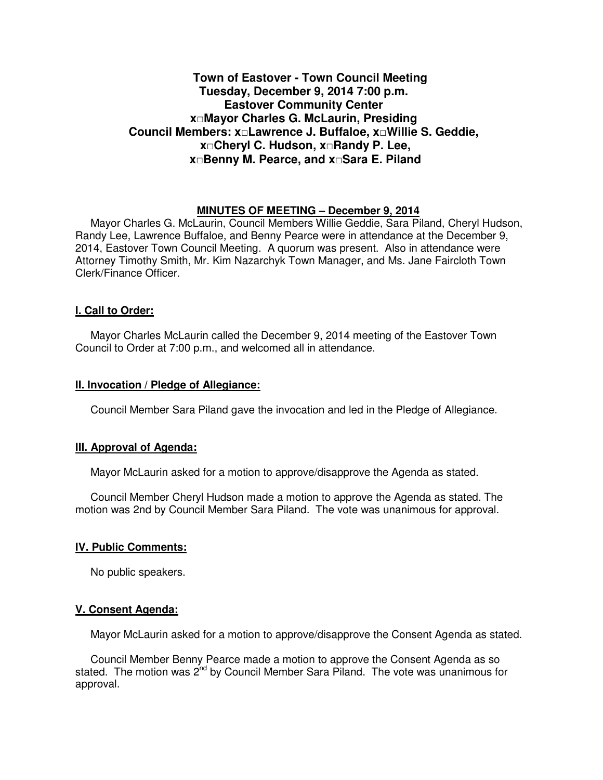# **Town of Eastover - Town Council Meeting Tuesday, December 9, 2014 7:00 p.m. Eastover Community Center x□Mayor Charles G. McLaurin, Presiding Council Members: x□Lawrence J. Buffaloe, x□Willie S. Geddie, x□Cheryl C. Hudson, x□Randy P. Lee, x□Benny M. Pearce, and x□Sara E. Piland**

### **MINUTES OF MEETING – December 9, 2014**

Mayor Charles G. McLaurin, Council Members Willie Geddie, Sara Piland, Cheryl Hudson, Randy Lee, Lawrence Buffaloe, and Benny Pearce were in attendance at the December 9, 2014, Eastover Town Council Meeting. A quorum was present. Also in attendance were Attorney Timothy Smith, Mr. Kim Nazarchyk Town Manager, and Ms. Jane Faircloth Town Clerk/Finance Officer.

### **I. Call to Order:**

Mayor Charles McLaurin called the December 9, 2014 meeting of the Eastover Town Council to Order at 7:00 p.m., and welcomed all in attendance.

#### **II. Invocation / Pledge of Allegiance:**

Council Member Sara Piland gave the invocation and led in the Pledge of Allegiance.

#### **III. Approval of Agenda:**

Mayor McLaurin asked for a motion to approve/disapprove the Agenda as stated.

 Council Member Cheryl Hudson made a motion to approve the Agenda as stated. The motion was 2nd by Council Member Sara Piland. The vote was unanimous for approval.

### **IV. Public Comments:**

No public speakers.

### **V. Consent Agenda:**

Mayor McLaurin asked for a motion to approve/disapprove the Consent Agenda as stated.

 Council Member Benny Pearce made a motion to approve the Consent Agenda as so stated. The motion was 2<sup>nd</sup> by Council Member Sara Piland. The vote was unanimous for approval.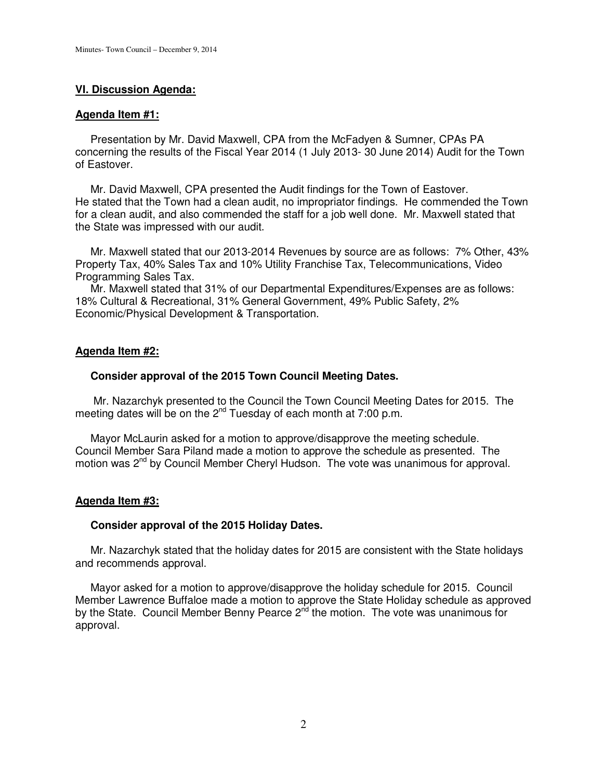## **VI. Discussion Agenda:**

### **Agenda Item #1:**

 Presentation by Mr. David Maxwell, CPA from the McFadyen & Sumner, CPAs PA concerning the results of the Fiscal Year 2014 (1 July 2013- 30 June 2014) Audit for the Town of Eastover.

 Mr. David Maxwell, CPA presented the Audit findings for the Town of Eastover. He stated that the Town had a clean audit, no impropriator findings. He commended the Town for a clean audit, and also commended the staff for a job well done. Mr. Maxwell stated that the State was impressed with our audit.

 Mr. Maxwell stated that our 2013-2014 Revenues by source are as follows: 7% Other, 43% Property Tax, 40% Sales Tax and 10% Utility Franchise Tax, Telecommunications, Video Programming Sales Tax.

 Mr. Maxwell stated that 31% of our Departmental Expenditures/Expenses are as follows: 18% Cultural & Recreational, 31% General Government, 49% Public Safety, 2% Economic/Physical Development & Transportation.

## **Agenda Item #2:**

### **Consider approval of the 2015 Town Council Meeting Dates.**

Mr. Nazarchyk presented to the Council the Town Council Meeting Dates for 2015. The meeting dates will be on the  $2^{nd}$  Tuesday of each month at 7:00 p.m.

 Mayor McLaurin asked for a motion to approve/disapprove the meeting schedule. Council Member Sara Piland made a motion to approve the schedule as presented. The motion was 2<sup>nd</sup> by Council Member Cheryl Hudson. The vote was unanimous for approval.

## **Agenda Item #3:**

### **Consider approval of the 2015 Holiday Dates.**

Mr. Nazarchyk stated that the holiday dates for 2015 are consistent with the State holidays and recommends approval.

 Mayor asked for a motion to approve/disapprove the holiday schedule for 2015. Council Member Lawrence Buffaloe made a motion to approve the State Holiday schedule as approved by the State. Council Member Benny Pearce 2<sup>nd</sup> the motion. The vote was unanimous for approval.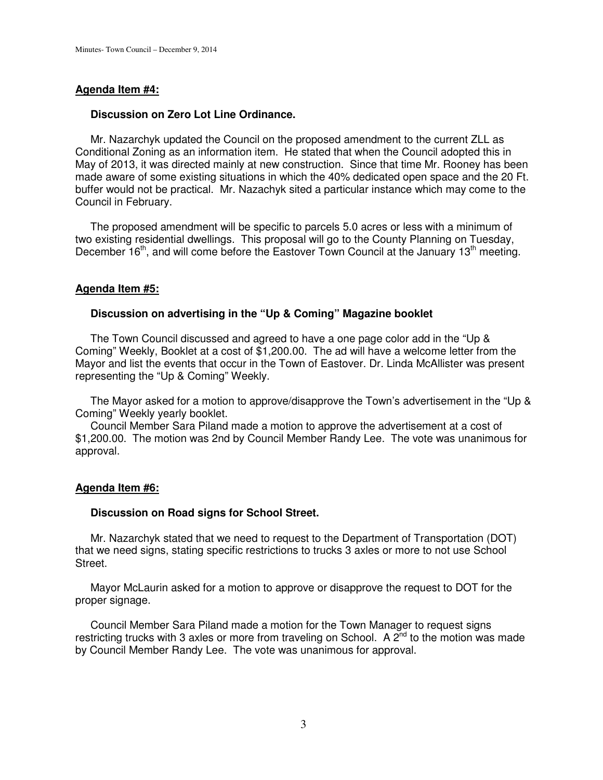### **Agenda Item #4:**

### **Discussion on Zero Lot Line Ordinance.**

 Mr. Nazarchyk updated the Council on the proposed amendment to the current ZLL as Conditional Zoning as an information item. He stated that when the Council adopted this in May of 2013, it was directed mainly at new construction. Since that time Mr. Rooney has been made aware of some existing situations in which the 40% dedicated open space and the 20 Ft. buffer would not be practical. Mr. Nazachyk sited a particular instance which may come to the Council in February.

 The proposed amendment will be specific to parcels 5.0 acres or less with a minimum of two existing residential dwellings. This proposal will go to the County Planning on Tuesday, December 16<sup>th</sup>, and will come before the Eastover Town Council at the January 13<sup>th</sup> meeting.

#### **Agenda Item #5:**

#### **Discussion on advertising in the "Up & Coming" Magazine booklet**

 The Town Council discussed and agreed to have a one page color add in the "Up & Coming" Weekly, Booklet at a cost of \$1,200.00. The ad will have a welcome letter from the Mayor and list the events that occur in the Town of Eastover. Dr. Linda McAllister was present representing the "Up & Coming" Weekly.

 The Mayor asked for a motion to approve/disapprove the Town's advertisement in the "Up & Coming" Weekly yearly booklet.

 Council Member Sara Piland made a motion to approve the advertisement at a cost of \$1,200.00. The motion was 2nd by Council Member Randy Lee. The vote was unanimous for approval.

#### **Agenda Item #6:**

#### **Discussion on Road signs for School Street.**

 Mr. Nazarchyk stated that we need to request to the Department of Transportation (DOT) that we need signs, stating specific restrictions to trucks 3 axles or more to not use School Street.

 Mayor McLaurin asked for a motion to approve or disapprove the request to DOT for the proper signage.

 Council Member Sara Piland made a motion for the Town Manager to request signs restricting trucks with 3 axles or more from traveling on School. A  $2^{nd}$  to the motion was made by Council Member Randy Lee. The vote was unanimous for approval.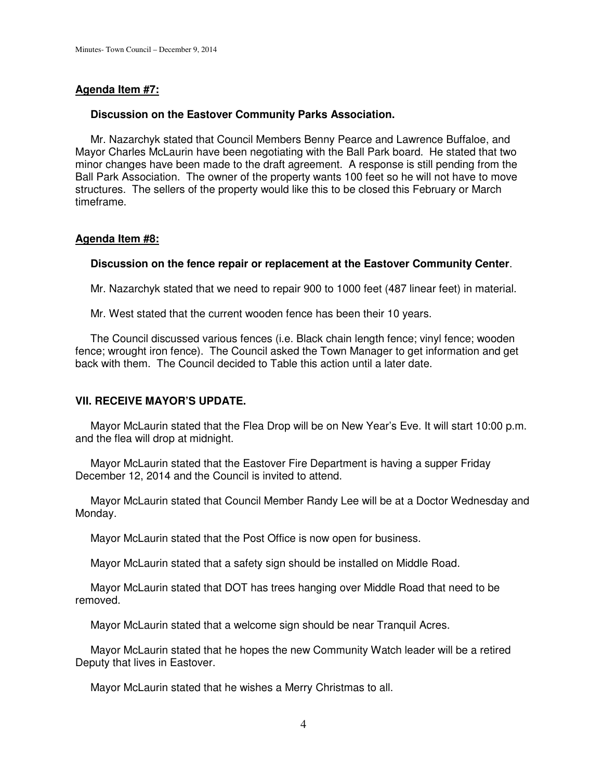## **Agenda Item #7:**

## **Discussion on the Eastover Community Parks Association.**

 Mr. Nazarchyk stated that Council Members Benny Pearce and Lawrence Buffaloe, and Mayor Charles McLaurin have been negotiating with the Ball Park board. He stated that two minor changes have been made to the draft agreement. A response is still pending from the Ball Park Association. The owner of the property wants 100 feet so he will not have to move structures. The sellers of the property would like this to be closed this February or March timeframe.

### **Agenda Item #8:**

### **Discussion on the fence repair or replacement at the Eastover Community Center**.

Mr. Nazarchyk stated that we need to repair 900 to 1000 feet (487 linear feet) in material.

Mr. West stated that the current wooden fence has been their 10 years.

 The Council discussed various fences (i.e. Black chain length fence; vinyl fence; wooden fence; wrought iron fence). The Council asked the Town Manager to get information and get back with them. The Council decided to Table this action until a later date.

## **VII. RECEIVE MAYOR'S UPDATE.**

 Mayor McLaurin stated that the Flea Drop will be on New Year's Eve. It will start 10:00 p.m. and the flea will drop at midnight.

 Mayor McLaurin stated that the Eastover Fire Department is having a supper Friday December 12, 2014 and the Council is invited to attend.

 Mayor McLaurin stated that Council Member Randy Lee will be at a Doctor Wednesday and Monday.

Mayor McLaurin stated that the Post Office is now open for business.

Mayor McLaurin stated that a safety sign should be installed on Middle Road.

 Mayor McLaurin stated that DOT has trees hanging over Middle Road that need to be removed.

Mayor McLaurin stated that a welcome sign should be near Tranquil Acres.

 Mayor McLaurin stated that he hopes the new Community Watch leader will be a retired Deputy that lives in Eastover.

Mayor McLaurin stated that he wishes a Merry Christmas to all.